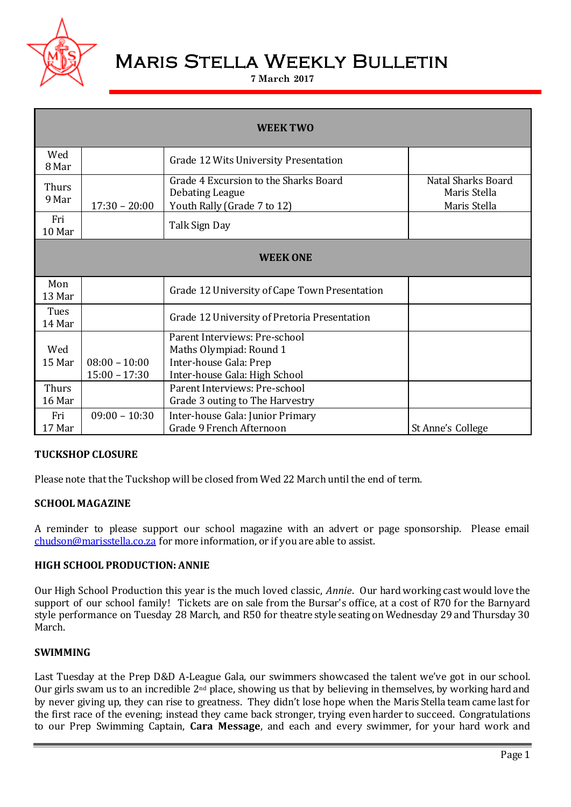

# Maris Stella Weekly Bulletin

**7 March 2017**

| <b>WEEK TWO</b> |                                    |                                                                                                                     |                                                    |  |  |  |
|-----------------|------------------------------------|---------------------------------------------------------------------------------------------------------------------|----------------------------------------------------|--|--|--|
| Wed<br>8 Mar    |                                    | Grade 12 Wits University Presentation                                                                               |                                                    |  |  |  |
| Thurs<br>9 Mar  | $17:30 - 20:00$                    | Grade 4 Excursion to the Sharks Board<br>Debating League<br>Youth Rally (Grade 7 to 12)                             | Natal Sharks Board<br>Maris Stella<br>Maris Stella |  |  |  |
| Fri<br>10 Mar   |                                    | Talk Sign Day                                                                                                       |                                                    |  |  |  |
| <b>WEEK ONE</b> |                                    |                                                                                                                     |                                                    |  |  |  |
| Mon<br>13 Mar   |                                    | Grade 12 University of Cape Town Presentation                                                                       |                                                    |  |  |  |
| Tues<br>14 Mar  |                                    | Grade 12 University of Pretoria Presentation                                                                        |                                                    |  |  |  |
| Wed<br>15 Mar   | $08:00 - 10:00$<br>$15:00 - 17:30$ | Parent Interviews: Pre-school<br>Maths Olympiad: Round 1<br>Inter-house Gala: Prep<br>Inter-house Gala: High School |                                                    |  |  |  |
| Thurs<br>16 Mar |                                    | Parent Interviews: Pre-school<br>Grade 3 outing to The Harvestry                                                    |                                                    |  |  |  |
| Fri<br>17 Mar   | $09:00 - 10:30$                    | Inter-house Gala: Junior Primary<br>Grade 9 French Afternoon                                                        | St Anne's College                                  |  |  |  |

# **TUCKSHOP CLOSURE**

Please note that the Tuckshop will be closed from Wed 22 March until the end of term.

## **SCHOOL MAGAZINE**

A reminder to please support our school magazine with an advert or page sponsorship. Please email [chudson@marisstella.co.za](mailto:chudson@marisstella.co.za) for more information, or if you are able to assist.

## **HIGH SCHOOL PRODUCTION: ANNIE**

Our High School Production this year is the much loved classic, *Annie*. Our hard working cast would love the support of our school family! Tickets are on sale from the Bursar's office, at a cost of R70 for the Barnyard style performance on Tuesday 28 March, and R50 for theatre style seating on Wednesday 29 and Thursday 30 March.

## **SWIMMING**

Last Tuesday at the Prep D&D A-League Gala, our swimmers showcased the talent we've got in our school. Our girls swam us to an incredible 2nd place, showing us that by believing in themselves, by working hard and by never giving up, they can rise to greatness. They didn't lose hope when the Maris Stella team came last for the first race of the evening; instead they came back stronger, trying even harder to succeed. Congratulations to our Prep Swimming Captain, **Cara Message**, and each and every swimmer, for your hard work and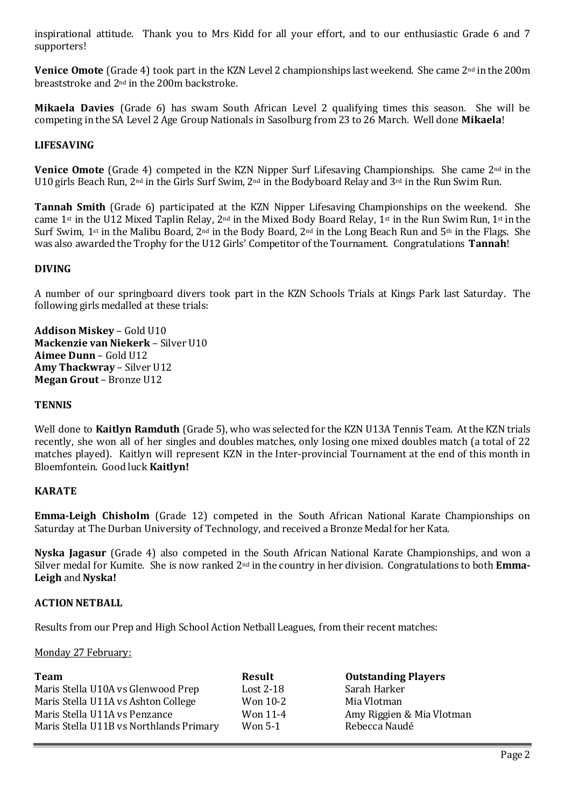inspirational attitude. Thank you to Mrs Kidd for all your effort, and to our enthusiastic Grade 6 and 7 supporters!

**Venice Omote** (Grade 4) took part in the KZN Level 2 championships last weekend. She came 2<sup>nd</sup> in the 200m breaststroke and 2nd in the 200m backstroke.

**Mikaela Davies** (Grade 6) has swam South African Level 2 qualifying times this season. She will be competing in the SA Level 2 Age Group Nationals in Sasolburg from 23 to 26 March. Well done **Mikaela**!

## **LIFESAVING**

**Venice Omote** (Grade 4) competed in the KZN Nipper Surf Lifesaving Championships. She came 2nd in the U10 girls Beach Run, 2<sup>nd</sup> in the Girls Surf Swim, 2<sup>nd</sup> in the Bodyboard Relay and 3<sup>rd</sup> in the Run Swim Run.

**Tannah Smith** (Grade 6) participated at the KZN Nipper Lifesaving Championships on the weekend. She came 1st in the U12 Mixed Taplin Relay, 2nd in the Mixed Body Board Relay, 1st in the Run Swim Run, 1st in the Surf Swim, 1st in the Malibu Board, 2nd in the Body Board, 2nd in the Long Beach Run and 5th in the Flags. She was also awarded the Trophy for the U12 Girls' Competitor of the Tournament. Congratulations **Tannah**!

## **DIVING**

A number of our springboard divers took part in the KZN Schools Trials at Kings Park last Saturday. The following girls medalled at these trials:

**Addison Miskey** – Gold U10 **Mackenzie van Niekerk** – Silver U10 **Aimee Dunn** – Gold U12 **Amy Thackwray** – Silver U12 **Megan Grout** – Bronze U12

#### **TENNIS**

Well done to **Kaitlyn Ramduth** (Grade 5), who was selected for the KZN U13A Tennis Team. At the KZN trials recently, she won all of her singles and doubles matches, only losing one mixed doubles match (a total of 22 matches played). Kaitlyn will represent KZN in the Inter-provincial Tournament at the end of this month in Bloemfontein. Good luck **Kaitlyn!**

## **KARATE**

**Emma-Leigh Chisholm** (Grade 12) competed in the South African National Karate Championships on Saturday at The Durban University of Technology, and received a Bronze Medal for her Kata.

**Nyska Jagasur** (Grade 4) also competed in the South African National Karate Championships, and won a Silver medal for Kumite. She is now ranked 2nd in the country in her division. Congratulations to both **Emma-Leigh** and **Nyska!**

## **ACTION NETBALL**

Results from our Prep and High School Action Netball Leagues, from their recent matches:

#### Monday 27 February:

| <b>Team</b>                             | Result      | <b>Outstanding Players</b> |
|-----------------------------------------|-------------|----------------------------|
| Maris Stella U10A vs Glenwood Prep      | Lost $2-18$ | Sarah Harker               |
| Maris Stella U11A vs Ashton College     | Won 10-2    | Mia Vlotman                |
| Maris Stella U11A vs Penzance           | Won 11-4    | Amy Riggien & Mia Vlotman  |
| Maris Stella U11B vs Northlands Primary | Won 5-1     | Rebecca Naudé              |